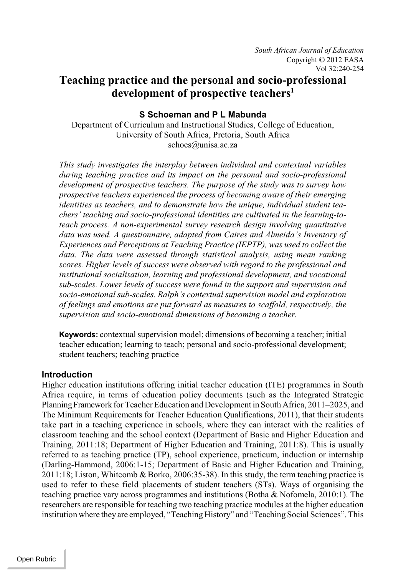# **Teaching practice and the personal and socio-professional development of prospective teachers<sup>1</sup>**

# **S Schoeman and P L Mabunda**

Department of Curriculum and Instructional Studies, College of Education, University of South Africa, Pretoria, South Africa schoes@unisa.ac.za

*This study investigates the interplay between individual and contextual variables during teaching practice and its impact on the personal and socio-professional development of prospective teachers. The purpose of the study was to survey how prospective teachers experienced the process of becoming aware of their emerging identities as teachers, and to demonstrate how the unique, individual student teachers' teaching and socio-professional identities are cultivated in the learning-toteach process. A non-experimental survey research design involving quantitative data was used. A questionnaire, adapted from Caires and Almeida's Inventory of Experiences and Perceptions at Teaching Practice (IEPTP), was used to collect the data. The data were assessed through statistical analysis, using mean ranking scores. Higher levels of success were observed with regard to the professional and institutional socialisation, learning and professional development, and vocational sub-scales. Lower levels of success were found in the support and supervision and socio-emotional sub-scales. Ralph's contextual supervision model and exploration of feelings and emotions are put forward as measures to scaffold, respectively, the supervision and socio-emotional dimensions of becoming a teacher.* 

**Keywords:** contextual supervision model; dimensions of becoming a teacher; initial teacher education; learning to teach; personal and socio-professional development; student teachers; teaching practice

### **Introduction**

Higher education institutions offering initial teacher education (ITE) programmes in South Africa require, in terms of education policy documents (such as the Integrated Strategic PlanningFramework for Teacher Education and Development in South Africa, 2011–2025, and The Minimum Requirements for Teacher Education Qualifications, 2011), that their students take part in a teaching experience in schools, where they can interact with the realities of classroom teaching and the school context (Department of Basic and Higher Education and Training, 2011:18; Department of Higher Education and Training, 2011:8). This is usually referred to as teaching practice (TP), school experience, practicum, induction or internship (Darling-Hammond, 2006:1-15; Department of Basic and Higher Education and Training, 2011:18; Liston, Whitcomb & Borko, 2006:35-38). In this study, the term teaching practice is used to refer to these field placements of student teachers (STs). Ways of organising the teaching practice vary across programmes and institutions (Botha & Nofomela, 2010:1). The researchers are responsible for teaching two teaching practice modules at the higher education institution where they are employed, "Teaching History" and "Teaching Social Sciences". This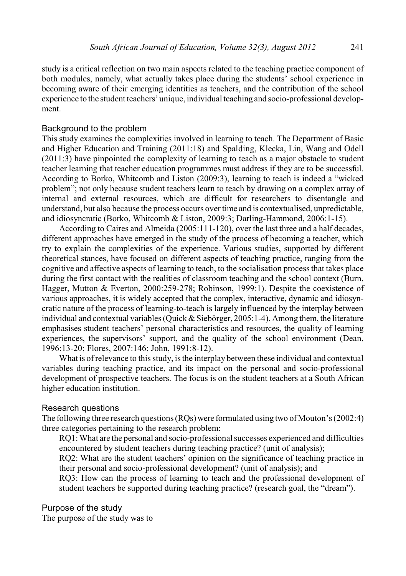study is a critical reflection on two main aspects related to the teaching practice component of both modules, namely, what actually takes place during the students' school experience in becoming aware of their emerging identities as teachers, and the contribution of the school experience to the student teachers' unique, individual teaching and socio-professional development.

#### Background to the problem

This study examines the complexities involved in learning to teach. The Department of Basic and Higher Education and Training (2011:18) and Spalding, Klecka, Lin, Wang and Odell (2011:3) have pinpointed the complexity of learning to teach as a major obstacle to student teacher learning that teacher education programmes must address if they are to be successful. According to Borko, Whitcomb and Liston (2009:3), learning to teach is indeed a "wicked problem"; not only because student teachers learn to teach by drawing on a complex array of internal and external resources, which are difficult for researchers to disentangle and understand, but also because the process occurs over time and is contextualised, unpredictable, and idiosyncratic (Borko, Whitcomb & Liston, 2009:3; Darling-Hammond, 2006:1-15).

According to Caires and Almeida (2005:111-120), over the last three and a half decades, different approaches have emerged in the study of the process of becoming a teacher, which try to explain the complexities of the experience. Various studies, supported by different theoretical stances, have focused on different aspects of teaching practice, ranging from the cognitive and affective aspects of learning to teach, to the socialisation processthat takes place during the first contact with the realities of classroom teaching and the school context (Burn, Hagger, Mutton & Everton, 2000:259-278; Robinson, 1999:1). Despite the coexistence of various approaches, it is widely accepted that the complex, interactive, dynamic and idiosyncratic nature of the process of learning-to-teach is largely influenced by the interplay between individual and contextual variables (Quick & Siebörger, 2005:1-4). Among them, the literature emphasises student teachers' personal characteristics and resources, the quality of learning experiences, the supervisors' support, and the quality of the school environment (Dean, 1996:13-20; Flores, 2007:146; John, 1991:8-12).

What is of relevance to this study, is the interplay between these individual and contextual variables during teaching practice, and its impact on the personal and socio-professional development of prospective teachers. The focus is on the student teachers at a South African higher education institution.

#### Research questions

The following three research questions (RQs) were formulated using two of Mouton's (2002:4) three categories pertaining to the research problem:

RQ1: What are the personal and socio-professional successes experienced and difficulties encountered by student teachers during teaching practice? (unit of analysis);

RQ2: What are the student teachers' opinion on the significance of teaching practice in their personal and socio-professional development? (unit of analysis); and

RQ3: How can the process of learning to teach and the professional development of student teachers be supported during teaching practice? (research goal, the "dream").

Purpose of the study

The purpose of the study was to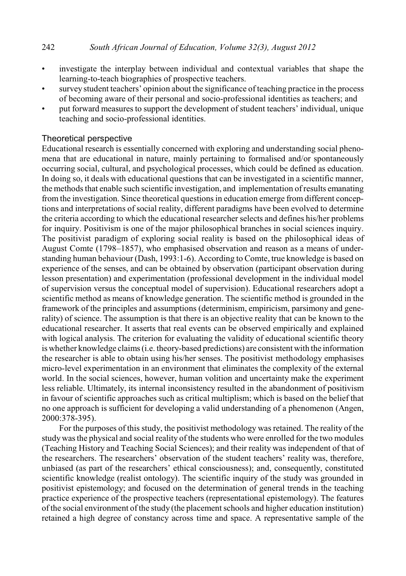- investigate the interplay between individual and contextual variables that shape the learning-to-teach biographies of prospective teachers.
- survey student teachers' opinion about the significance of teaching practice in the process of becoming aware of their personal and socio-professional identities as teachers; and
- put forward measures to support the development of student teachers' individual, unique teaching and socio-professional identities.

#### Theoretical perspective

Educational research is essentially concerned with exploring and understanding social phenomena that are educational in nature, mainly pertaining to formalised and/or spontaneously occurring social, cultural, and psychological processes, which could be defined as education. In doing so, it deals with educational questions that can be investigated in a scientific manner, the methods that enable such scientific investigation, and implementation of results emanating from the investigation. Since theoretical questions in education emerge from different conceptions and interpretations of social reality, different paradigms have been evolved to determine the criteria according to which the educational researcher selects and defines his/her problems for inquiry. Positivism is one of the major philosophical branches in social sciences inquiry. The positivist paradigm of exploring social reality is based on the philosophical ideas of August Comte (1798–1857), who emphasised observation and reason as a means of understanding human behaviour (Dash, 1993:1-6). According to Comte, true knowledge is based on experience of the senses, and can be obtained by observation (participant observation during lesson presentation) and experimentation (professional development in the individual model of supervision versus the conceptual model of supervision). Educational researchers adopt a scientific method as means of knowledge generation. The scientific method is grounded in the framework of the principles and assumptions (determinism, empiricism, parsimony and generality) of science. The assumption is that there is an objective reality that can be known to the educational researcher. It asserts that real events can be observed empirically and explained with logical analysis. The criterion for evaluating the validity of educational scientific theory is whether knowledge claims (i.e. theory-based predictions) are consistent with the information the researcher is able to obtain using his/her senses. The positivist methodology emphasises micro-level experimentation in an environment that eliminates the complexity of the external world. In the social sciences, however, human volition and uncertainty make the experiment less reliable. Ultimately, its internal inconsistency resulted in the abandonment of positivism in favour of scientific approaches such as critical multiplism; which is based on the belief that no one approach is sufficient for developing a valid understanding of a phenomenon (Angen, 2000:378-395).

For the purposes of this study, the positivist methodology was retained. The reality of the study was the physical and social reality of the students who were enrolled for the two modules (Teaching History and Teaching Social Sciences); and their reality was independent of that of the researchers. The researchers' observation of the student teachers' reality was, therefore, unbiased (as part of the researchers' ethical consciousness); and, consequently, constituted scientific knowledge (realist ontology). The scientific inquiry of the study was grounded in positivist epistemology; and focused on the determination of general trends in the teaching practice experience of the prospective teachers (representational epistemology). The features of the social environment of the study (the placement schools and higher education institution) retained a high degree of constancy across time and space. A representative sample of the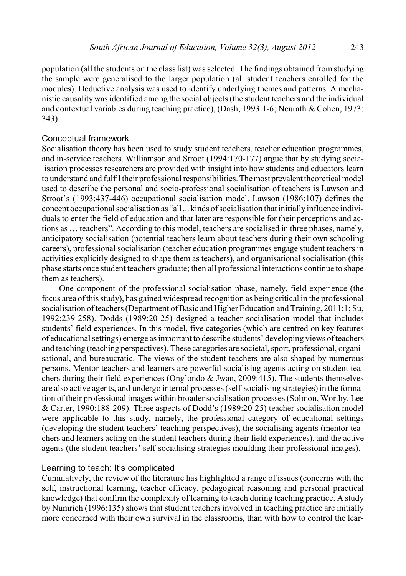population (all the students on the class list) was selected. The findings obtained from studying the sample were generalised to the larger population (all student teachers enrolled for the modules). Deductive analysis was used to identify underlying themes and patterns. A mechanistic causality was identified among the social objects (the student teachers and the individual and contextual variables during teaching practice), (Dash, 1993:1-6; Neurath & Cohen, 1973: 343).

#### Conceptual framework

Socialisation theory has been used to study student teachers, teacher education programmes, and in-service teachers. Williamson and Stroot (1994:170-177) argue that by studying socialisation processes researchers are provided with insight into how students and educators learn to understand and fulfil their professional responsibilities.Themost prevalenttheoretical model used to describe the personal and socio-professional socialisation of teachers is Lawson and Stroot's (1993:437-446) occupational socialisation model. Lawson (1986:107) defines the concept occupational socialisation as "all... kinds of socialisation that initially influence individuals to enter the field of education and that later are responsible for their perceptions and actions as … teachers". According to this model, teachers are socialised in three phases, namely, anticipatory socialisation (potential teachers learn about teachers during their own schooling careers), professional socialisation (teacher education programmes engage student teachers in activities explicitly designed to shape them as teachers), and organisational socialisation (this phase starts once student teachers graduate; then all professional interactions continue to shape them as teachers).

One component of the professional socialisation phase, namely, field experience (the focus area of this study), has gained widespread recognition as being critical in the professional socialisation of teachers (Department of Basic and Higher Education and Training, 2011:1; Su, 1992:239-258). Dodds (1989:20-25) designed a teacher socialisation model that includes students' field experiences. In this model, five categories (which are centred on key features of educational settings) emerge as important to describe students' developing views of teachers and teaching (teaching perspectives). These categories are societal, sport, professional, organisational, and bureaucratic. The views of the student teachers are also shaped by numerous persons. Mentor teachers and learners are powerful socialising agents acting on student teachers during their field experiences (Ong'ondo & Jwan, 2009:415). The students themselves are also active agents, and undergo internal processes (self-socialising strategies) in the formation of their professional images within broader socialisation processes (Solmon, Worthy, Lee & Carter, 1990:188-209). Three aspects of Dodd's (1989:20-25) teacher socialisation model were applicable to this study, namely, the professional category of educational settings (developing the student teachers' teaching perspectives), the socialising agents (mentor teachers and learners acting on the student teachers during their field experiences), and the active agents (the student teachers' self-socialising strategies moulding their professional images).

#### Learning to teach: It's complicated

Cumulatively, the review of the literature has highlighted a range of issues (concerns with the self, instructional learning, teacher efficacy, pedagogical reasoning and personal practical knowledge) that confirm the complexity of learning to teach during teaching practice. A study by Numrich (1996:135) shows that student teachers involved in teaching practice are initially more concerned with their own survival in the classrooms, than with how to control the lear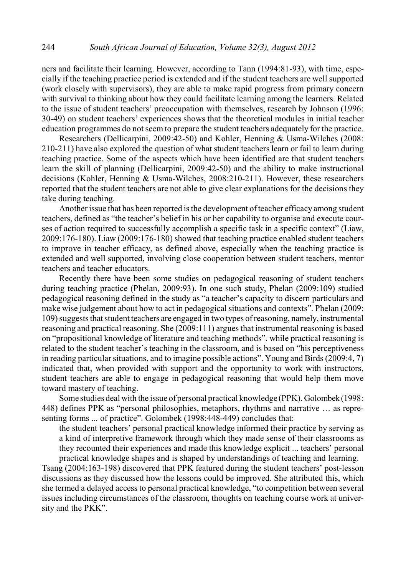ners and facilitate their learning. However, according to Tann (1994:81-93), with time, especially if the teaching practice period is extended and if the student teachers are well supported (work closely with supervisors), they are able to make rapid progress from primary concern with survival to thinking about how they could facilitate learning among the learners. Related to the issue of student teachers' preoccupation with themselves, research by Johnson (1996: 30-49) on student teachers' experiences shows that the theoretical modules in initial teacher education programmes do not seem to prepare the student teachers adequately for the practice.

Researchers (Dellicarpini, 2009:42-50) and Kohler, Henning & Usma-Wilches (2008: 210-211) have also explored the question of what student teachers learn or fail to learn during teaching practice. Some of the aspects which have been identified are that student teachers learn the skill of planning (Dellicarpini, 2009:42-50) and the ability to make instructional decisions (Kohler, Henning & Usma-Wilches, 2008:210-211). However, these researchers reported that the student teachers are not able to give clear explanations for the decisions they take during teaching.

Another issue that has been reported is the development of teacher efficacy among student teachers, defined as "the teacher's belief in his or her capability to organise and execute courses of action required to successfully accomplish a specific task in a specific context" (Liaw, 2009:176-180). Liaw (2009:176-180) showed that teaching practice enabled student teachers to improve in teacher efficacy, as defined above, especially when the teaching practice is extended and well supported, involving close cooperation between student teachers, mentor teachers and teacher educators.

Recently there have been some studies on pedagogical reasoning of student teachers during teaching practice (Phelan, 2009:93). In one such study, Phelan (2009:109) studied pedagogical reasoning defined in the study as "a teacher's capacity to discern particulars and make wise judgement about how to act in pedagogical situations and contexts". Phelan (2009: 109) suggests that student teachers are engaged in two types of reasoning, namely, instrumental reasoning and practical reasoning. She (2009:111) argues that instrumental reasoning is based on "propositional knowledge of literature and teaching methods", while practical reasoning is related to the student teacher's teaching in the classroom, and is based on "his perceptiveness in reading particular situations, and to imagine possible actions". Young and Birds (2009:4, 7) indicated that, when provided with support and the opportunity to work with instructors, student teachers are able to engage in pedagogical reasoning that would help them move toward mastery of teaching.

Some studies deal with the issue of personal practical knowledge (PPK). Golombek(1998: 448) defines PPK as "personal philosophies, metaphors, rhythms and narrative … as representing forms ... of practice". Golombek (1998:448-449) concludes that:

the student teachers' personal practical knowledge informed their practice by serving as a kind of interpretive framework through which they made sense of their classrooms as they recounted their experiences and made this knowledge explicit ... teachers' personal practical knowledge shapes and is shaped by understandings of teaching and learning.

Tsang (2004:163-198) discovered that PPK featured during the student teachers' post-lesson discussions as they discussed how the lessons could be improved. She attributed this, which she termed a delayed access to personal practical knowledge, "to competition between several issues including circumstances of the classroom, thoughts on teaching course work at university and the PKK".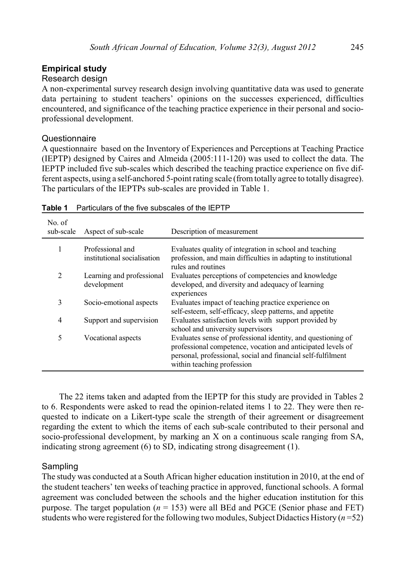# **Empirical study**

# Research design

A non-experimental survey research design involving quantitative data was used to generate data pertaining to student teachers' opinions on the successes experienced, difficulties encountered, and significance of the teaching practice experience in their personal and socioprofessional development.

# **Questionnaire**

A questionnaire based on the Inventory of Experiences and Perceptions at Teaching Practice (IEPTP) designed by Caires and Almeida (2005:111-120) was used to collect the data. The IEPTP included five sub-scales which described the teaching practice experience on five different aspects, using a self-anchored 5-point rating scale (from totally agree to totally disagree). The particulars of the IEPTPs sub-scales are provided in Table 1.

| No. of<br>sub-scale | Aspect of sub-scale                             | Description of measurement                                                                                                                                                                                                |
|---------------------|-------------------------------------------------|---------------------------------------------------------------------------------------------------------------------------------------------------------------------------------------------------------------------------|
| 1                   | Professional and<br>institutional socialisation | Evaluates quality of integration in school and teaching<br>profession, and main difficulties in adapting to institutional                                                                                                 |
| 2                   | Learning and professional<br>development        | rules and routines<br>Evaluates perceptions of competencies and knowledge<br>developed, and diversity and adequacy of learning<br>experiences                                                                             |
| 3                   | Socio-emotional aspects                         | Evaluates impact of teaching practice experience on<br>self-esteem, self-efficacy, sleep patterns, and appetite                                                                                                           |
| 4                   | Support and supervision                         | Evaluates satisfaction levels with support provided by<br>school and university supervisors                                                                                                                               |
| 5                   | Vocational aspects                              | Evaluates sense of professional identity, and questioning of<br>professional competence, vocation and anticipated levels of<br>personal, professional, social and financial self-fulfilment<br>within teaching profession |

The 22 items taken and adapted from the IEPTP for this study are provided in Tables 2 to 6. Respondents were asked to read the opinion-related items 1 to 22. They were then requested to indicate on a Likert-type scale the strength of their agreement or disagreement regarding the extent to which the items of each sub-scale contributed to their personal and socio-professional development, by marking an X on a continuous scale ranging from SA, indicating strong agreement (6) to SD, indicating strong disagreement (1).

# **Sampling**

The study was conducted at a South African higher education institution in 2010, at the end of the student teachers' ten weeks of teaching practice in approved, functional schools. A formal agreement was concluded between the schools and the higher education institution for this purpose. The target population ( $n = 153$ ) were all BEd and PGCE (Senior phase and FET) students who were registered for the following two modules, Subject Didactics History (*n* =52)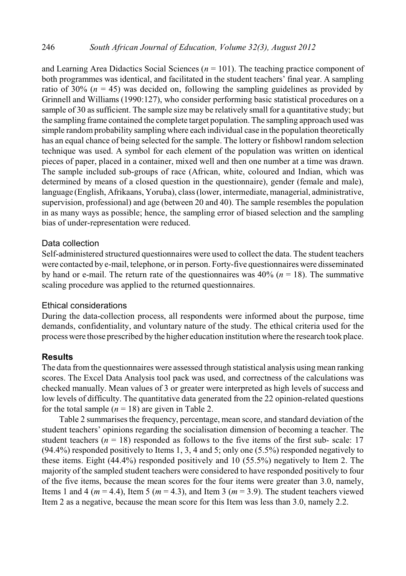and Learning Area Didactics Social Sciences (*n* = 101). The teaching practice component of both programmes was identical, and facilitated in the student teachers' final year. A sampling ratio of 30% ( $n = 45$ ) was decided on, following the sampling guidelines as provided by Grinnell and Williams (1990:127), who consider performing basic statistical procedures on a sample of 30 as sufficient. The sample size may be relatively small for a quantitative study; but the sampling frame contained the complete target population. The sampling approach used was simple random probability sampling where each individual case in the population theoretically has an equal chance of being selected for the sample. The lottery or fishbowl random selection technique was used. A symbol for each element of the population was written on identical pieces of paper, placed in a container, mixed well and then one number at a time was drawn. The sample included sub-groups of race (African, white, coloured and Indian, which was determined by means of a closed question in the questionnaire), gender (female and male), language (English, Afrikaans, Yoruba), class (lower, intermediate, managerial, administrative, supervision, professional) and age (between 20 and 40). The sample resembles the population in as many ways as possible; hence, the sampling error of biased selection and the sampling bias of under-representation were reduced.

#### Data collection

Self-administered structured questionnaires were used to collect the data. The student teachers were contacted by e-mail, telephone, or in person. Forty-five questionnaires were disseminated by hand or e-mail. The return rate of the questionnaires was  $40\%$  ( $n = 18$ ). The summative scaling procedure was applied to the returned questionnaires.

#### Ethical considerations

During the data-collection process, all respondents were informed about the purpose, time demands, confidentiality, and voluntary nature of the study. The ethical criteria used for the processwere those prescribed by the higher education institution where the research took place.

### **Results**

The data from the questionnaires were assessed through statistical analysis using mean ranking scores. The Excel Data Analysis tool pack was used, and correctness of the calculations was checked manually. Mean values of 3 or greater were interpreted as high levels of success and low levels of difficulty. The quantitative data generated from the 22 opinion-related questions for the total sample  $(n = 18)$  are given in Table 2.

Table 2 summarises the frequency, percentage, mean score, and standard deviation of the student teachers' opinions regarding the socialisation dimension of becoming a teacher. The student teachers ( $n = 18$ ) responded as follows to the five items of the first sub- scale: 17  $(94.4\%)$  responded positively to Items 1, 3, 4 and 5; only one  $(5.5\%)$  responded negatively to these items. Eight (44.4%) responded positively and 10 (55.5%) negatively to Item 2. The majority of the sampled student teachers were considered to have responded positively to four of the five items, because the mean scores for the four items were greater than 3.0, namely, Items 1 and 4 ( $m = 4.4$ ), Item 5 ( $m = 4.3$ ), and Item 3 ( $m = 3.9$ ). The student teachers viewed Item 2 as a negative, because the mean score for this Item was less than 3.0, namely 2.2.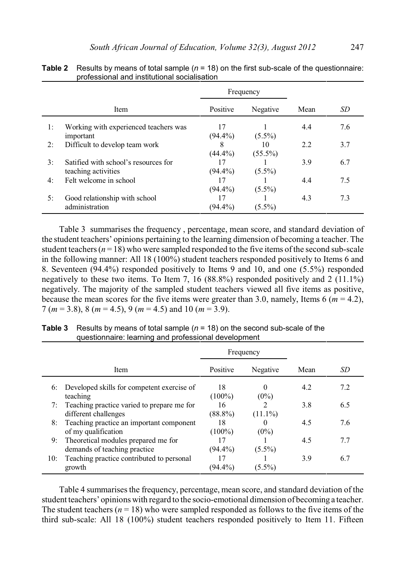|    | Frequency                                                   |                  |                  |      |     |
|----|-------------------------------------------------------------|------------------|------------------|------|-----|
|    | <b>Item</b>                                                 | Positive         | Negative         | Mean | SD  |
| 1: | Working with experienced teachers was<br>important          | 17<br>$(94.4\%)$ | $(5.5\%)$        | 4.4  | 7.6 |
| 2: | Difficult to develop team work                              | 8<br>$(44.4\%)$  | 10<br>$(55.5\%)$ | 2.2  | 3.7 |
| 3: | Satified with school's resources for<br>teaching activities | 17<br>$(94.4\%)$ | $(5.5\%)$        | 3.9  | 6.7 |
| 4: | Felt welcome in school                                      | 17<br>$(94.4\%)$ | $(5.5\%)$        | 4.4  | 7.5 |
| 5: | Good relationship with school<br>administration             | 17<br>$(94.4\%)$ | $(5.5\%)$        | 4.3  | 7.3 |

**Table 2** Results by means of total sample (*n* = 18) on the first sub-scale of the questionnaire: professional and institutional socialisation

Table 3 summarises the frequency , percentage, mean score, and standard deviation of the student teachers' opinions pertaining to the learning dimension of becoming a teacher. The student teachers  $(n = 18)$  who were sampled responded to the five items of the second sub-scale in the following manner: All 18 (100%) student teachers responded positively to Items 6 and 8. Seventeen (94.4%) responded positively to Items 9 and 10, and one (5.5%) responded negatively to these two items. To Item 7, 16  $(88.8%)$  responded positively and 2  $(11.1%)$ negatively. The majority of the sampled student teachers viewed all five items as positive, because the mean scores for the five items were greater than 3.0, namely, Items 6 ( $m = 4.2$ ), 7 (*m* = 3.8), 8 (*m* = 4.5), 9 (*m* = 4.5) and 10 (*m* = 3.9).

|     | Frequency                                                             |                  |                     |      |     |
|-----|-----------------------------------------------------------------------|------------------|---------------------|------|-----|
|     | Item                                                                  | Positive         | Negative            | Mean | SD  |
| 6:  | Developed skills for competent exercise of<br>teaching                | 18<br>$(100\%)$  | $\Omega$<br>$(0\%)$ | 4.2  | 7.2 |
|     | 7: Teaching practice varied to prepare me for<br>different challenges | 16<br>$(88.8\%)$ | 2<br>$(11.1\%)$     | 3.8  | 6.5 |
| 8:  | Teaching practice an important component<br>of my qualification       | 18<br>$(100\%)$  | $(0\%)$             | 4.5  | 7.6 |
| 9:  | Theoretical modules prepared me for<br>demands of teaching practice   | 17<br>$(94.4\%)$ | $(5.5\%)$           | 4.5  | 7.7 |
| 10: | Teaching practice contributed to personal<br>growth                   | 17<br>$(94.4\%)$ | $(5.5\%)$           | 3.9  | 6.7 |

**Table 3** Results by means of total sample (*n* = 18) on the second sub-scale of the questionnaire: learning and professional development

Table 4 summarises the frequency, percentage, mean score, and standard deviation of the student teachers' opinions with regard to the socio-emotional dimension of becoming a teacher. The student teachers ( $n = 18$ ) who were sampled responded as follows to the five items of the third sub-scale: All 18 (100%) student teachers responded positively to Item 11. Fifteen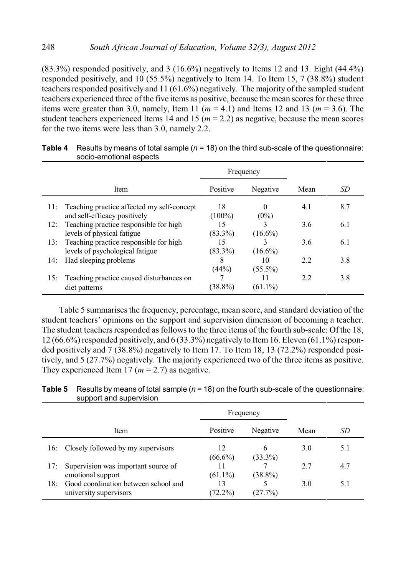(83.3%) responded positively, and 3 (16.6%) negatively to Items 12 and 13. Eight (44.4%) responded positively, and 10 (55.5%) negatively to Item 14. To Item 15, 7 (38.8%) student teachers responded positively and 11 (61.6%) negatively. The majority of the sampled student teachers experienced three of the five items as positive, because the mean scores for these three items were greater than 3.0, namely, Item 11 ( $m = 4.1$ ) and Items 12 and 13 ( $m = 3.6$ ). The student teachers experienced Items 14 and 15 ( $m = 2.2$ ) as negative, because the mean scores for the two items were less than 3.0, namely 2.2.

|     |                                                                        |                 | Frequency        |      |     |
|-----|------------------------------------------------------------------------|-----------------|------------------|------|-----|
|     | <b>Item</b>                                                            | Positive        | Negative         | Mean | SD  |
|     | 11: Teaching practice affected my self-concept                         | 18              | $\theta$         | 4.1  | 8.7 |
| 12: | and self-efficacy positively<br>Teaching practice responsible for high | $(100\%)$<br>15 | $(0\%)$          | 3.6  | 6.1 |
|     | levels of physical fatigue                                             | $(83.3\%)$      | $(16.6\%)$       |      |     |
|     | 13: Teaching practice responsible for high                             | 15              |                  | 3.6  | 6.1 |
|     | levels of psychological fatigue                                        | $(83.3\%)$      | $(16.6\%)$       |      |     |
| 14: | Had sleeping problems                                                  | 8<br>(44%)      | 10<br>$(55.5\%)$ | 2.2  | 3.8 |
|     | 15: Teaching practice caused disturbances on                           |                 | 11               | 2.2  | 3.8 |
|     | diet patterns                                                          | $(38.8\%)$      | $(61.1\%)$       |      |     |

**Table 4** Results by means of total sample (*n* = 18) on the third sub-scale of the questionnaire: socio-emotional aspects

Table 5 summarises the frequency, percentage, mean score, and standard deviation of the student teachers' opinions on the support and supervision dimension of becoming a teacher. The student teachers responded as follows to the three items of the fourth sub-scale: Ofthe 18, 12 (66.6%) responded positively, and 6 (33.3%) negatively to Item16. Eleven (61.1%) responded positively and 7 (38.8%) negatively to Item 17. To Item 18, 13 (72.2%) responded positively, and 5 (27.7%) negatively. The majority experienced two of the three items as positive. They experienced Item 17 ( $m = 2.7$ ) as negative.

|     |                                                                | Frequency        |                 |      |     |
|-----|----------------------------------------------------------------|------------------|-----------------|------|-----|
|     | Item                                                           | Positive         | Negative        | Mean | SD  |
| 16: | Closely followed by my supervisors                             | 12<br>$(66.6\%)$ | 6<br>$(33.3\%)$ | 3.0  | 5.1 |
| 17: | Supervision was important source of<br>emotional support       | $(61.1\%)$       | $(38.8\%)$      | 27   | 4.7 |
| 18: | Good coordination between school and<br>university supervisors | 13<br>$(72.2\%)$ | (27.7%)         | 3.0  | 5.1 |

**Table 5** Results by means of total sample (*n* = 18) on the fourth sub-scale of the questionnaire: support and supervision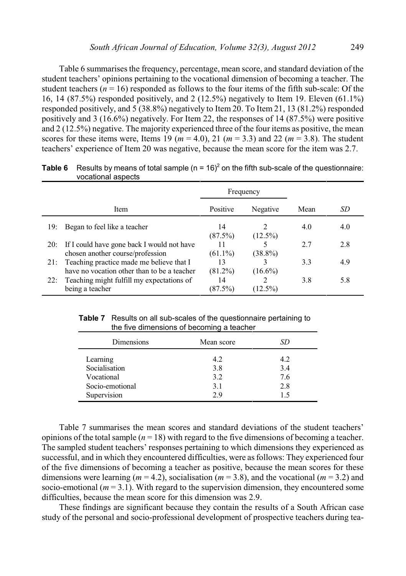Table 6 summarises the frequency, percentage, mean score, and standard deviation of the student teachers' opinions pertaining to the vocational dimension of becoming a teacher. The student teachers  $(n = 16)$  responded as follows to the four items of the fifth sub-scale: Of the 16, 14 (87.5%) responded positively, and 2 (12.5%) negatively to Item 19. Eleven (61.1%) responded positively, and 5 (38.8%) negatively to Item 20. To Item 21, 13 (81.2%) responded positively and 3 (16.6%) negatively. For Item 22, the responses of 14 (87.5%) were positive and 2 (12.5%) negative. The majority experienced three of the four items as positive, the mean scores for these items were, Items 19 ( $m = 4.0$ ), 21 ( $m = 3.3$ ) and 22 ( $m = 3.8$ ). The student teachers' experience of Item 20 was negative, because the mean score for the item was 2.7.

|     |                                                                                         | Frequency        |                 |      |     |
|-----|-----------------------------------------------------------------------------------------|------------------|-----------------|------|-----|
|     | Item                                                                                    | Positive         | Negative        | Mean | SD  |
| 19: | Began to feel like a teacher                                                            | 14<br>(87.5%)    | 2<br>$(12.5\%)$ | 4.0  | 4.0 |
| 20: | If I could have gone back I would not have<br>chosen another course/profession          | 11<br>$(61.1\%)$ | $(38.8\%)$      | 27   | 2.8 |
| 21: | Teaching practice made me believe that I<br>have no vocation other than to be a teacher | 13<br>$(81.2\%)$ | $(16.6\%)$      | 3.3  | 4.9 |
| 22: | Teaching might fulfill my expectations of<br>being a teacher                            | 14<br>(87.5%)    | $(12.5\%)$      | 3.8  | 5.8 |

**Table 6** Results by means of total sample  $(n = 16)^2$  on the fifth sub-scale of the questionnaire: vocational aspects

 **Table 7** Results on all sub-scales of the questionnaire pertaining to the five dimensions of becoming a teacher

| Dimensions                                                                | Mean score                     | SD                       |
|---------------------------------------------------------------------------|--------------------------------|--------------------------|
| Learning<br>Socialisation<br>Vocational<br>Socio-emotional<br>Supervision | 4.2<br>3.8<br>3.2<br>3.1<br>29 | 4.2<br>3.4<br>7.6<br>2.8 |

Table 7 summarises the mean scores and standard deviations of the student teachers' opinions of the total sample  $(n = 18)$  with regard to the five dimensions of becoming a teacher. The sampled student teachers' responses pertaining to which dimensions they experienced as successful, and in which they encountered difficulties, were as follows: They experienced four of the five dimensions of becoming a teacher as positive, because the mean scores for these dimensions were learning ( $m = 4.2$ ), socialisation ( $m = 3.8$ ), and the vocational ( $m = 3.2$ ) and socio-emotional  $(m = 3.1)$ . With regard to the supervision dimension, they encountered some difficulties, because the mean score for this dimension was 2.9.

These findings are significant because they contain the results of a South African case study of the personal and socio-professional development of prospective teachers during tea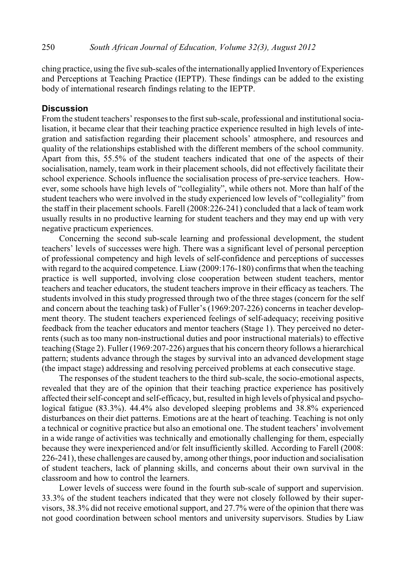ching practice, using the five sub-scales of the internationally applied Inventory of Experiences and Perceptions at Teaching Practice (IEPTP). These findings can be added to the existing body of international research findings relating to the IEPTP.

# **Discussion**

From the student teachers' responses to the first sub-scale, professional and institutional socialisation, it became clear that their teaching practice experience resulted in high levels of integration and satisfaction regarding their placement schools' atmosphere, and resources and quality of the relationships established with the different members of the school community. Apart from this, 55.5% of the student teachers indicated that one of the aspects of their socialisation, namely, team work in their placement schools, did not effectively facilitate their school experience. Schools influence the socialisation process of pre-service teachers. However, some schools have high levels of "collegiality", while others not. More than half of the student teachers who were involved in the study experienced low levels of "collegiality" from the staff in their placement schools. Farell (2008:226-241) concluded that a lack of team work usually results in no productive learning for student teachers and they may end up with very negative practicum experiences.

Concerning the second sub-scale learning and professional development, the student teachers' levels of successes were high. There was a significant level of personal perception of professional competency and high levels of self-confidence and perceptions of successes with regard to the acquired competence. Liaw (2009:176-180) confirms that when the teaching practice is well supported, involving close cooperation between student teachers, mentor teachers and teacher educators, the student teachers improve in their efficacy as teachers. The students involved in this study progressed through two of the three stages (concern for the self and concern about the teaching task) of Fuller's (1969:207-226) concerns in teacher development theory. The student teachers experienced feelings of self-adequacy; receiving positive feedback from the teacher educators and mentor teachers (Stage 1). They perceived no deterrents (such as too many non-instructional duties and poor instructional materials) to effective teaching (Stage 2). Fuller (1969:207-226) argues that his concern theory follows a hierarchical pattern; students advance through the stages by survival into an advanced development stage (the impact stage) addressing and resolving perceived problems at each consecutive stage.

The responses of the student teachers to the third sub-scale, the socio-emotional aspects, revealed that they are of the opinion that their teaching practice experience has positively affected their self-concept and self-efficacy, but, resulted in high levels of physical and psychological fatigue (83.3%). 44.4% also developed sleeping problems and 38.8% experienced disturbances on their diet patterns. Emotions are at the heart of teaching. Teaching is not only a technical or cognitive practice but also an emotional one. The student teachers' involvement in a wide range of activities was technically and emotionally challenging for them, especially because they were inexperienced and/or felt insufficiently skilled. According to Farell (2008: 226-241), these challenges are caused by, among other things, poor induction and socialisation of student teachers, lack of planning skills, and concerns about their own survival in the classroom and how to control the learners.

Lower levels of success were found in the fourth sub-scale of support and supervision. 33.3% of the student teachers indicated that they were not closely followed by their supervisors, 38.3% did not receive emotional support, and 27.7% were of the opinion that there was not good coordination between school mentors and university supervisors. Studies by Liaw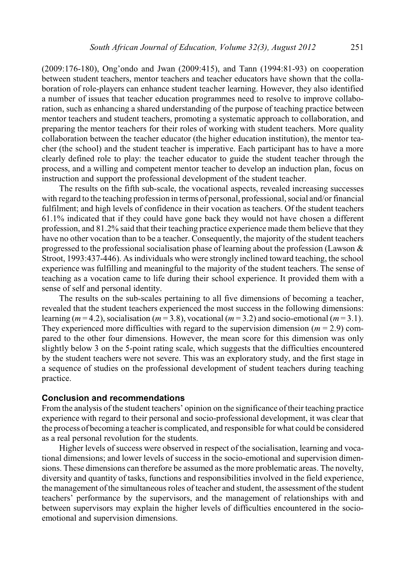(2009:176-180), Ong'ondo and Jwan (2009:415), and Tann (1994:81-93) on cooperation between student teachers, mentor teachers and teacher educators have shown that the collaboration of role-players can enhance student teacher learning. However, they also identified a number of issues that teacher education programmes need to resolve to improve collaboration, such as enhancing a shared understanding of the purpose of teaching practice between mentor teachers and student teachers, promoting a systematic approach to collaboration, and preparing the mentor teachers for their roles of working with student teachers. More quality collaboration between the teacher educator (the higher education institution), the mentor teacher (the school) and the student teacher is imperative. Each participant has to have a more clearly defined role to play: the teacher educator to guide the student teacher through the process, and a willing and competent mentor teacher to develop an induction plan, focus on instruction and support the professional development of the student teacher.

The results on the fifth sub-scale, the vocational aspects, revealed increasing successes with regard to the teaching profession in terms of personal, professional, social and/or financial fulfilment; and high levels of confidence in their vocation as teachers. Of the student teachers 61.1% indicated that if they could have gone back they would not have chosen a different profession, and 81.2% said that their teaching practice experience made them believe that they have no other vocation than to be a teacher. Consequently, the majority of the student teachers progressed to the professional socialisation phase of learning about the profession (Lawson  $\&$ Stroot, 1993:437-446). As individuals who were strongly inclined toward teaching, the school experience was fulfilling and meaningful to the majority of the student teachers. The sense of teaching as a vocation came to life during their school experience. It provided them with a sense of self and personal identity.

The results on the sub-scales pertaining to all five dimensions of becoming a teacher, revealed that the student teachers experienced the most success in the following dimensions: learning ( $m = 4.2$ ), socialisation ( $m = 3.8$ ), vocational ( $m = 3.2$ ) and socio-emotional ( $m = 3.1$ ). They experienced more difficulties with regard to the supervision dimension  $(m = 2.9)$  compared to the other four dimensions. However, the mean score for this dimension was only slightly below 3 on the 5-point rating scale, which suggests that the difficulties encountered by the student teachers were not severe. This was an exploratory study, and the first stage in a sequence of studies on the professional development of student teachers during teaching practice.

# **Conclusion and recommendations**

From the analysis of the student teachers' opinion on the significance of their teaching practice experience with regard to their personal and socio-professional development, it was clear that the process of becoming a teacher is complicated, and responsible for what could be considered as a real personal revolution for the students.

Higher levels of success were observed in respect of the socialisation, learning and vocational dimensions; and lower levels of success in the socio-emotional and supervision dimensions. These dimensions can therefore be assumed as the more problematic areas. The novelty, diversity and quantity of tasks, functions and responsibilities involved in the field experience, the management of the simultaneous roles of teacher and student, the assessment of the student teachers' performance by the supervisors, and the management of relationships with and between supervisors may explain the higher levels of difficulties encountered in the socioemotional and supervision dimensions.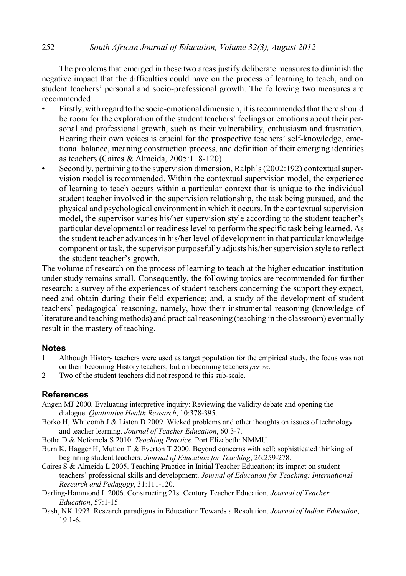#### 252 *South African Journal of Education, Volume 32(3), August 2012*

The problems that emerged in these two areas justify deliberate measures to diminish the negative impact that the difficulties could have on the process of learning to teach, and on student teachers' personal and socio-professional growth. The following two measures are recommended:

- Firstly, with regard to the socio-emotional dimension, it is recommended that there should be room for the exploration of the student teachers' feelings or emotions about their personal and professional growth, such as their vulnerability, enthusiasm and frustration. Hearing their own voices is crucial for the prospective teachers' self-knowledge, emotional balance, meaning construction process, and definition of their emerging identities as teachers (Caires & Almeida, 2005:118-120).
- Secondly, pertaining to the supervision dimension, Ralph's (2002:192) contextual supervision model is recommended. Within the contextual supervision model, the experience of learning to teach occurs within a particular context that is unique to the individual student teacher involved in the supervision relationship, the task being pursued, and the physical and psychological environment in which it occurs. In the contextual supervision model, the supervisor varies his/her supervision style according to the student teacher's particular developmental or readiness level to perform the specific task being learned. As the student teacher advancesin his/her level of development in that particular knowledge component or task, the supervisor purposefully adjusts his/her supervision style to reflect the student teacher's growth.

The volume of research on the process of learning to teach at the higher education institution under study remains small. Consequently, the following topics are recommended for further research: a survey of the experiences of student teachers concerning the support they expect, need and obtain during their field experience; and, a study of the development of student teachers' pedagogical reasoning, namely, how their instrumental reasoning (knowledge of literature and teaching methods) and practical reasoning (teaching in the classroom) eventually result in the mastery of teaching.

# **Notes**

- 1 Although History teachers were used as target population for the empirical study, the focus was not on their becoming History teachers, but on becoming teachers *per se*.
- 2 Two of the student teachers did not respond to this sub-scale.

# **References**

Angen MJ 2000. Evaluating interpretive inquiry: Reviewing the validity debate and opening the dialogue. *Qualitative Health Research*, 10:378-395.

- Borko H, Whitcomb J & Liston D 2009. Wicked problems and other thoughts on issues of technology and teacher learning. *Journal of Teacher Education*, 60:3-7.
- Botha D & Nofomela S 2010. *Teaching Practice*. Port Elizabeth: NMMU.
- Burn K, Hagger H, Mutton T & Everton T 2000. Beyond concerns with self: sophisticated thinking of beginning student teachers. *Journal of Education for Teaching*, 26:259-278.
- Caires S & Almeida L 2005. Teaching Practice in Initial Teacher Education; its impact on student teachers' professional skills and development. *Journal of Education for Teaching: International Research and Pedagogy*, 31:111-120.
- Darling-Hammond L 2006. Constructing 21st Century Teacher Education. *Journal of Teacher Education*, 57:1-15.
- Dash, NK 1993. Research paradigms in Education: Towards a Resolution. *Journal of Indian Education*, 19:1-6.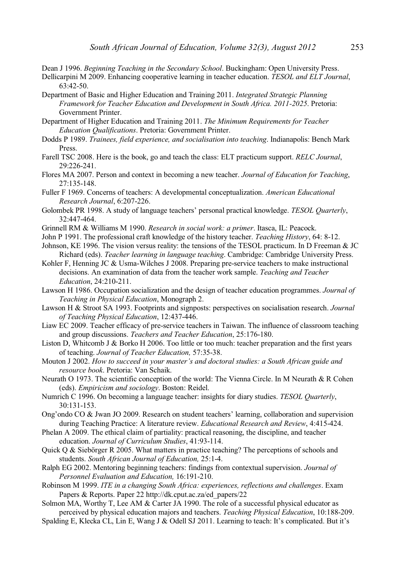Dean J 1996. *Beginning Teaching in the Secondary School*. Buckingham: Open University Press.

- Dellicarpini M 2009. Enhancing cooperative learning in teacher education. *TESOL and ELT Journal*, 63:42-50.
- Department of Basic and Higher Education and Training 2011. *Integrated Strategic Planning Framework for Teacher Education and Development in South Africa. 2011-2025*. Pretoria: Government Printer.
- Department of Higher Education and Training 2011. *The Minimum Requirements for Teacher Education Qualifications*. Pretoria: Government Printer.
- Dodds P 1989. *Trainees, field experience, and socialisation into teaching*. Indianapolis: Bench Mark Press.
- Farell TSC 2008. Here is the book, go and teach the class: ELT practicum support. *RELC Journal*, 29:226-241.
- Flores MA 2007. Person and context in becoming a new teacher. *Journal of Education for Teaching*, 27:135-148.
- Fuller F 1969. Concerns of teachers: A developmental conceptualization. *American Educational Research Journal*, 6:207-226.
- Golombek PR 1998. A study of language teachers' personal practical knowledge. *TESOL Quarterly*, 32:447-464.
- Grinnell RM & Williams M 1990. *Research in social work: a primer*. Itasca, IL: Peacock.
- John P 1991. The professional craft knowledge of the history teacher. *Teaching History*, 64: 8-12.
- Johnson, KE 1996. The vision versus reality: the tensions of the TESOL practicum. In D Freeman & JC Richard (eds). *Teacher learning in language teaching*. Cambridge: Cambridge University Press.
- Kohler F, Henning JC & Usma-Wilches J 2008. Preparing pre-service teachers to make instructional decisions. An examination of data from the teacher work sample. *Teaching and Teacher Education*, 24:210-211.
- Lawson H 1986. Occupation socialization and the design of teacher education programmes. *Journal of Teaching in Physical Education*, Monograph 2.
- Lawson H & Stroot SA 1993. Footprints and signposts: perspectives on socialisation research. *Journal of Teaching Physical Education*, 12:437-446.
- Liaw EC 2009. Teacher efficacy of pre-service teachers in Taiwan. The influence of classroom teaching and group discussions. *Teachers and Teacher Education*, 25:176-180.
- Liston D, Whitcomb J & Borko H 2006. Too little or too much: teacher preparation and the first years of teaching. *Journal of Teacher Education,* 57:35-38.
- Mouton J 2002. *How to succeed in your master's and doctoral studies: a South African guide and resource book*. Pretoria: Van Schaik.
- Neurath O 1973. The scientific conception of the world: The Vienna Circle. In M Neurath & R Cohen (eds). *Empiricism and sociology*. Boston: Reidel.
- Numrich C 1996. On becoming a language teacher: insights for diary studies. *TESOL Quarterly*, 30:131-153.
- Ong'ondo CO & Jwan JO 2009. Research on student teachers' learning, collaboration and supervision during Teaching Practice: A literature review. *Educational Research and Review*, 4:415-424.
- Phelan A 2009. The ethical claim of partiality: practical reasoning, the discipline, and teacher education. *Journal of Curriculum Studies*, 41:93-114.
- Quick Q & Siebörger R 2005. What matters in practice teaching? The perceptions of schools and students. *South African Journal of Education,* 25:1-4.
- Ralph EG 2002. Mentoring beginning teachers: findings from contextual supervision. *Journal of Personnel Evaluation and Education,* 16:191-210.
- Robinson M 1999. *ITE in a changing South Africa: experiences, reflections and challenges*. Exam Papers & Reports. Paper 22 http://dk.cput.ac.za/ed\_papers/22
- Solmon MA, Worthy T, Lee AM & Carter JA 1990. The role of a successful physical educator as perceived by physical education majors and teachers. *Teaching Physical Education*, 10:188-209.
- Spalding E, Klecka CL, Lin E, Wang J & Odell SJ 2011. Learning to teach: It's complicated. But it's